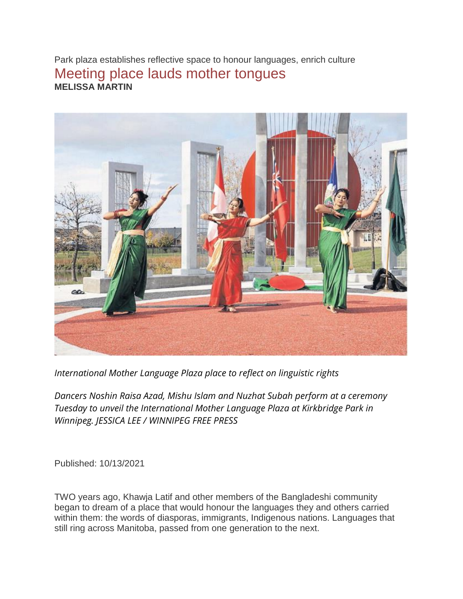Park plaza establishes reflective space to honour languages, enrich culture Meeting place lauds mother tongues **MELISSA MARTIN**



*International Mother Language Plaza place to reflect on linguistic rights* 

*Dancers Noshin Raisa Azad, Mishu Islam and Nuzhat Subah perform at a ceremony Tuesday to unveil the International Mother Language Plaza at Kirkbridge Park in Winnipeg. JESSICA LEE / WINNIPEG FREE PRESS*

Published: 10/13/2021

TWO years ago, Khawja Latif and other members of the Bangladeshi community began to dream of a place that would honour the languages they and others carried within them: the words of diasporas, immigrants, Indigenous nations. Languages that still ring across Manitoba, passed from one generation to the next.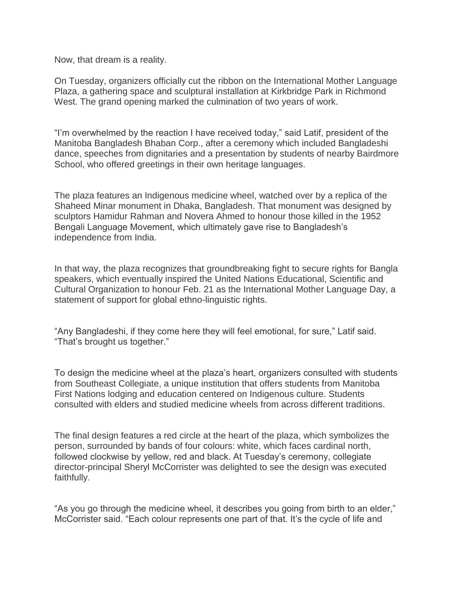Now, that dream is a reality.

On Tuesday, organizers officially cut the ribbon on the International Mother Language Plaza, a gathering space and sculptural installation at Kirkbridge Park in Richmond West. The grand opening marked the culmination of two years of work.

"I'm overwhelmed by the reaction I have received today," said Latif, president of the Manitoba Bangladesh Bhaban Corp., after a ceremony which included Bangladeshi dance, speeches from dignitaries and a presentation by students of nearby Bairdmore School, who offered greetings in their own heritage languages.

The plaza features an Indigenous medicine wheel, watched over by a replica of the Shaheed Minar monument in Dhaka, Bangladesh. That monument was designed by sculptors Hamidur Rahman and Novera Ahmed to honour those killed in the 1952 Bengali Language Movement, which ultimately gave rise to Bangladesh's independence from India.

In that way, the plaza recognizes that groundbreaking fight to secure rights for Bangla speakers, which eventually inspired the United Nations Educational, Scientific and Cultural Organization to honour Feb. 21 as the International Mother Language Day, a statement of support for global ethno-linguistic rights.

"Any Bangladeshi, if they come here they will feel emotional, for sure," Latif said. "That's brought us together."

To design the medicine wheel at the plaza's heart, organizers consulted with students from Southeast Collegiate, a unique institution that offers students from Manitoba First Nations lodging and education centered on Indigenous culture. Students consulted with elders and studied medicine wheels from across different traditions.

The final design features a red circle at the heart of the plaza, which symbolizes the person, surrounded by bands of four colours: white, which faces cardinal north, followed clockwise by yellow, red and black. At Tuesday's ceremony, collegiate director-principal Sheryl McCorrister was delighted to see the design was executed faithfully.

"As you go through the medicine wheel, it describes you going from birth to an elder," McCorrister said. "Each colour represents one part of that. It's the cycle of life and